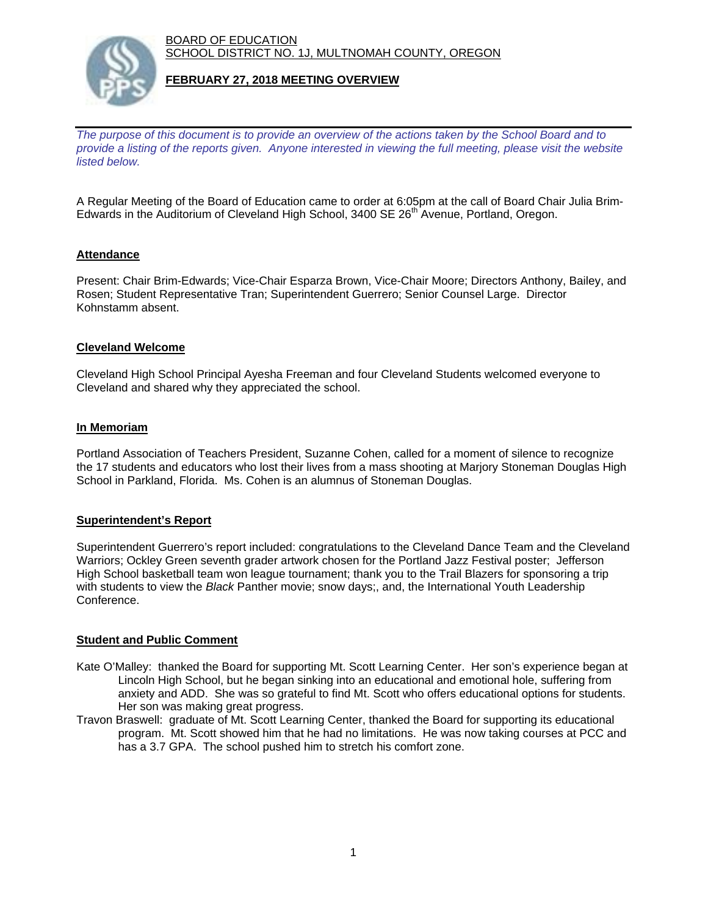BOARD OF EDUCATION SCHOOL DISTRICT NO. 1J, MULTNOMAH COUNTY, OREGON



# **FEBRUARY 27, 2018 MEETING OVERVIEW**

*The purpose of this document is to provide an overview of the actions taken by the School Board and to provide a listing of the reports given. Anyone interested in viewing the full meeting, please visit the website listed below.*

A Regular Meeting of the Board of Education came to order at 6:05pm at the call of Board Chair Julia Brim-Edwards in the Auditorium of Cleveland High School, 3400 SE 26<sup>th</sup> Avenue, Portland, Oregon.

# **Attendance**

Present: Chair Brim-Edwards; Vice-Chair Esparza Brown, Vice-Chair Moore; Directors Anthony, Bailey, and Rosen; Student Representative Tran; Superintendent Guerrero; Senior Counsel Large. Director Kohnstamm absent.

### **Cleveland Welcome**

Cleveland High School Principal Ayesha Freeman and four Cleveland Students welcomed everyone to Cleveland and shared why they appreciated the school.

#### **In Memoriam**

Portland Association of Teachers President, Suzanne Cohen, called for a moment of silence to recognize the 17 students and educators who lost their lives from a mass shooting at Marjory Stoneman Douglas High School in Parkland, Florida. Ms. Cohen is an alumnus of Stoneman Douglas.

#### **Superintendent's Report**

Superintendent Guerrero's report included: congratulations to the Cleveland Dance Team and the Cleveland Warriors; Ockley Green seventh grader artwork chosen for the Portland Jazz Festival poster; Jefferson High School basketball team won league tournament; thank you to the Trail Blazers for sponsoring a trip with students to view the *Black* Panther movie; snow days;, and, the International Youth Leadership Conference.

#### **Student and Public Comment**

- Kate O'Malley: thanked the Board for supporting Mt. Scott Learning Center. Her son's experience began at Lincoln High School, but he began sinking into an educational and emotional hole, suffering from anxiety and ADD. She was so grateful to find Mt. Scott who offers educational options for students. Her son was making great progress.
- Travon Braswell: graduate of Mt. Scott Learning Center, thanked the Board for supporting its educational program. Mt. Scott showed him that he had no limitations. He was now taking courses at PCC and has a 3.7 GPA. The school pushed him to stretch his comfort zone.